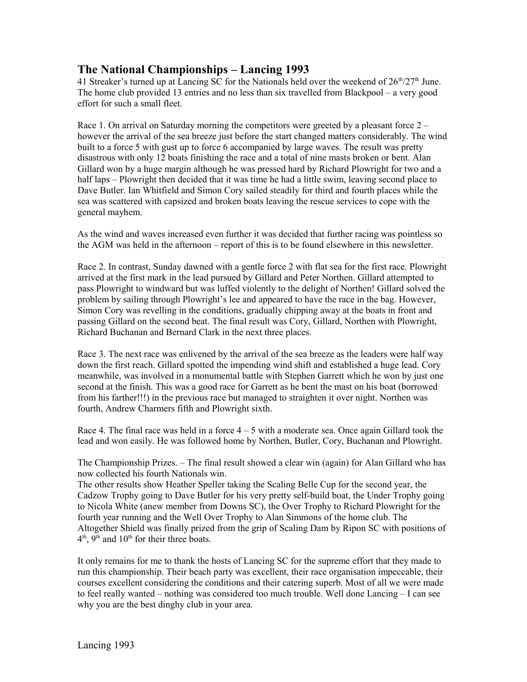## **The National Championships – Lancing 1993**

41 Streaker's turned up at Lancing SC for the Nationals held over the weekend of  $26<sup>th</sup>/27<sup>th</sup>$  June. The home club provided 13 entries and no less than six travelled from Blackpool – a very good effort for such a small fleet.

Race 1. On arrival on Saturday morning the competitors were greeted by a pleasant force 2 – however the arrival of the sea breeze just before the start changed matters considerably. The wind built to a force 5 with gust up to force 6 accompanied by large waves. The result was pretty disastrous with only 12 boats finishing the race and a total of nine masts broken or bent. Alan Gillard won by a huge margin although he was pressed hard by Richard Plowright for two and a half laps – Plowright then decided that it was time he had a little swim, leaving second place to Dave Butler. Ian Whitfield and Simon Cory sailed steadily for third and fourth places while the sea was scattered with capsized and broken boats leaving the rescue services to cope with the general mayhem.

As the wind and waves increased even further it was decided that further racing was pointless so the AGM was held in the afternoon – report of this is to be found elsewhere in this newsletter.

Race 2. In contrast, Sunday dawned with a gentle force 2 with flat sea for the first race. Plowright arrived at the first mark in the lead pursued by Gillard and Peter Northen. Gillard attempted to pass Plowright to windward but was luffed violently to the delight of Northen! Gillard solved the problem by sailing through Plowright's lee and appeared to have the race in the bag. However, Simon Cory was revelling in the conditions, gradually chipping away at the boats in front and passing Gillard on the second beat. The final result was Cory, Gillard, Northen with Plowright, Richard Buchanan and Bernard Clark in the next three places.

Race 3. The next race was enlivened by the arrival of the sea breeze as the leaders were half way down the first reach. Gillard spotted the impending wind shift and established a huge lead. Cory meanwhile, was involved in a monumental battle with Stephen Garrett which he won by just one second at the finish. This was a good race for Garrett as he bent the mast on his boat (borrowed from his farther!!!) in the previous race but managed to straighten it over night. Northen was fourth, Andrew Charmers fifth and Plowright sixth.

Race 4. The final race was held in a force  $4 - 5$  with a moderate sea. Once again Gillard took the lead and won easily. He was followed home by Northen, Butler, Cory, Buchanan and Plowright.

The Championship Prizes. – The final result showed a clear win (again) for Alan Gillard who has now collected his fourth Nationals win.

The other results show Heather Speller taking the Scaling Belle Cup for the second year, the Cadzow Trophy going to Dave Butler for his very pretty self-build boat, the Under Trophy going to Nicola White (anew member from Downs SC), the Over Trophy to Richard Plowright for the fourth year running and the Well Over Trophy to Alan Simmons of the home club. The Altogether Shield was finally prized from the grip of Scaling Dam by Ripon SC with positions of  $4<sup>th</sup>$ , 9<sup>th</sup> and 10<sup>th</sup> for their three boats.

It only remains for me to thank the hosts of Lancing SC for the supreme effort that they made to run this championship. Their beach party was excellent, their race organisation impeccable, their courses excellent considering the conditions and their catering superb. Most of all we were made to feel really wanted – nothing was considered too much trouble. Well done Lancing – I can see why you are the best dinghy club in your area.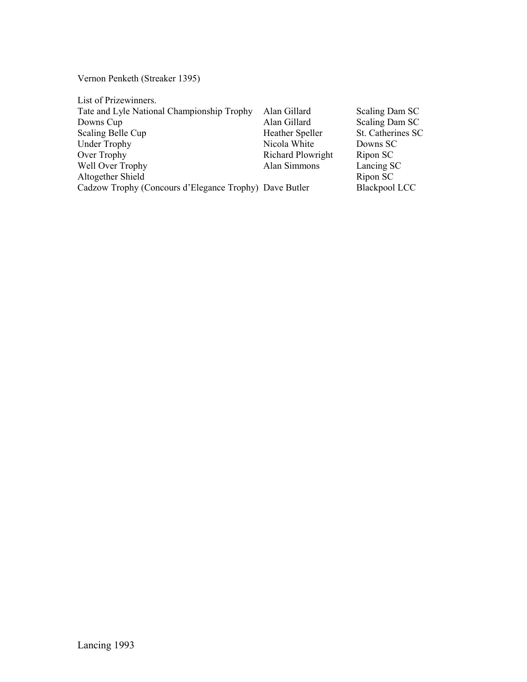Vernon Penketh (Streaker 1395)

| List of Prizewinners.                                  |                   |                      |
|--------------------------------------------------------|-------------------|----------------------|
| Tate and Lyle National Championship Trophy             | Alan Gillard      | Scaling Dam SC       |
| Downs Cup                                              | Alan Gillard      | Scaling Dam SC       |
| Scaling Belle Cup                                      | Heather Speller   | St. Catherines SC    |
| <b>Under Trophy</b>                                    | Nicola White      | Downs SC             |
| Over Trophy                                            | Richard Plowright | Ripon SC             |
| Well Over Trophy                                       | Alan Simmons      | Lancing SC           |
| Altogether Shield                                      |                   | Ripon SC             |
| Cadzow Trophy (Concours d'Elegance Trophy) Dave Butler |                   | <b>Blackpool LCC</b> |